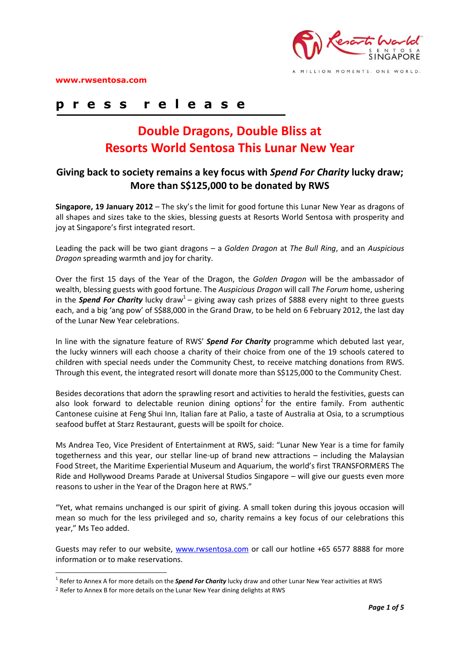

MILLION MOMENTS. ONE WORLD

## **p r e s s r e l e a s e**

# **Double Dragons, Double Bliss at Resorts World Sentosa This Lunar New Year**

### **Giving back to society remains a key focus with** *Spend For Charity* **lucky draw; More than S\$125,000 to be donated by RWS**

**Singapore, 19 January 2012** – The sky's the limit for good fortune this Lunar New Year as dragons of all shapes and sizes take to the skies, blessing guests at Resorts World Sentosa with prosperity and joy at Singapore's first integrated resort.

Leading the pack will be two giant dragons – a *Golden Dragon* at *The Bull Ring*, and an *Auspicious Dragon* spreading warmth and joy for charity.

Over the first 15 days of the Year of the Dragon, the *Golden Dragon* will be the ambassador of wealth, blessing guests with good fortune. The *Auspicious Dragon* will call *The Forum* home, ushering in the Spend For Charity lucky draw<sup>1</sup> – giving away cash prizes of \$888 every night to three guests each, and a big 'ang pow' of S\$88,000 in the Grand Draw, to be held on 6 February 2012, the last day of the Lunar New Year celebrations.

In line with the signature feature of RWS' *Spend For Charity* programme which debuted last year, the lucky winners will each choose a charity of their choice from one of the 19 schools catered to children with special needs under the Community Chest, to receive matching donations from RWS. Through this event, the integrated resort will donate more than S\$125,000 to the Community Chest.

Besides decorations that adorn the sprawling resort and activities to herald the festivities, guests can also look forward to delectable reunion dining options<sup>2</sup> for the entire family. From authentic Cantonese cuisine at Feng Shui Inn, Italian fare at Palio, a taste of Australia at Osia, to a scrumptious seafood buffet at Starz Restaurant, guests will be spoilt for choice.

Ms Andrea Teo, Vice President of Entertainment at RWS, said: "Lunar New Year is a time for family togetherness and this year, our stellar line-up of brand new attractions – including the Malaysian Food Street, the Maritime Experiential Museum and Aquarium, the world's first TRANSFORMERS The Ride and Hollywood Dreams Parade at Universal Studios Singapore – will give our guests even more reasons to usher in the Year of the Dragon here at RWS."

"Yet, what remains unchanged is our spirit of giving. A small token during this joyous occasion will mean so much for the less privileged and so, charity remains a key focus of our celebrations this year," Ms Teo added.

Guests may refer to our website, [www.rwsentosa.com](http://www.rwsentosa.com/) or call our hotline +65 6577 8888 for more information or to make reservations.

<u>.</u>

<sup>&</sup>lt;sup>1</sup> Refer to Annex A for more details on the *Spend For Charity* lucky draw and other Lunar New Year activities at RWS

<sup>&</sup>lt;sup>2</sup> Refer to Annex B for more details on the Lunar New Year dining delights at RWS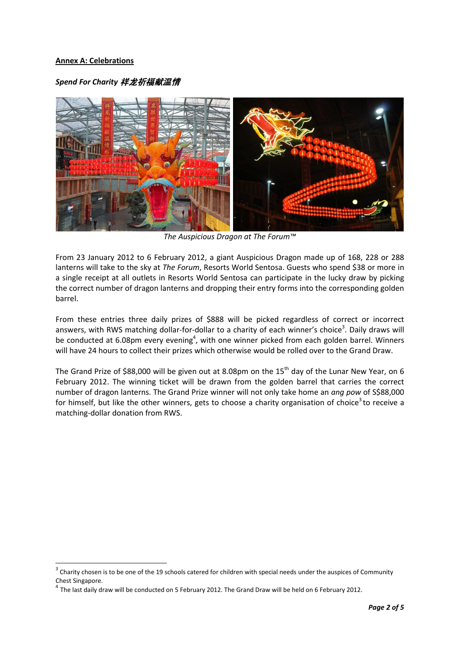#### **Annex A: Celebrations**

<u>.</u>

#### *Spend For Charity* 祥龙祈福献温情



*The Auspicious Dragon at The Forum™*

From 23 January 2012 to 6 February 2012, a giant Auspicious Dragon made up of 168, 228 or 288 lanterns will take to the sky at *The Forum*, Resorts World Sentosa. Guests who spend \$38 or more in a single receipt at all outlets in Resorts World Sentosa can participate in the lucky draw by picking the correct number of dragon lanterns and dropping their entry forms into the corresponding golden barrel.

From these entries three daily prizes of \$888 will be picked regardless of correct or incorrect answers, with RWS matching dollar-for-dollar to a charity of each winner's choice<sup>3</sup>. Daily draws will be conducted at 6.08pm every evening<sup>4</sup>, with one winner picked from each golden barrel. Winners will have 24 hours to collect their prizes which otherwise would be rolled over to the Grand Draw.

The Grand Prize of \$88,000 will be given out at 8.08pm on the  $15<sup>th</sup>$  day of the Lunar New Year, on 6 February 2012. The winning ticket will be drawn from the golden barrel that carries the correct number of dragon lanterns. The Grand Prize winner will not only take home an *ang pow* of S\$88,000 for himself, but like the other winners, gets to choose a charity organisation of choice<sup>3</sup> to receive a matching-dollar donation from RWS.

<sup>3</sup> Charity chosen is to be one of the 19 schools catered for children with special needs under the auspices of Community Chest Singapore.

<sup>4</sup> The last daily draw will be conducted on 5 February 2012. The Grand Draw will be held on 6 February 2012.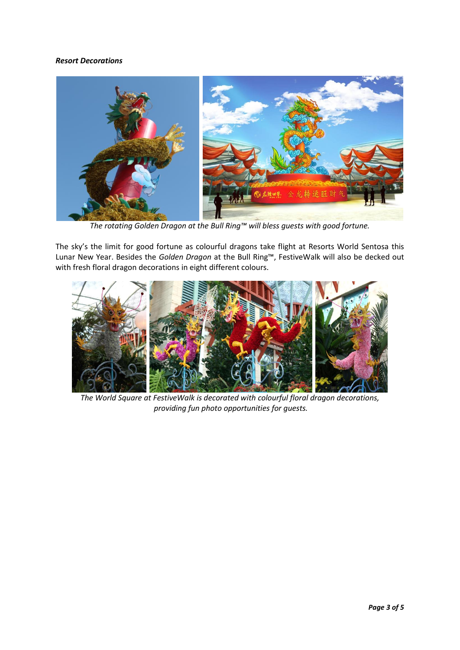#### *Resort Decorations*



*The rotating Golden Dragon at the Bull Ring™ will bless guests with good fortune.*

The sky's the limit for good fortune as colourful dragons take flight at Resorts World Sentosa this Lunar New Year. Besides the *Golden Dragon* at the Bull Ring™, FestiveWalk will also be decked out with fresh floral dragon decorations in eight different colours.



*The World Square at FestiveWalk is decorated with colourful floral dragon decorations, providing fun photo opportunities for guests.*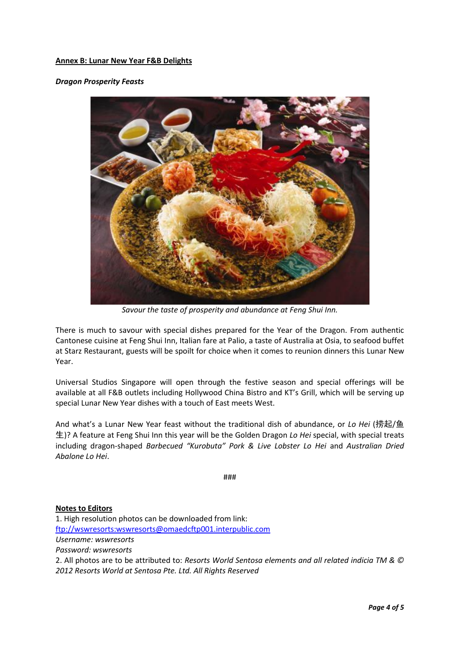#### **Annex B: Lunar New Year F&B Delights**

#### *Dragon Prosperity Feasts*



*Savour the taste of prosperity and abundance at Feng Shui Inn.*

There is much to savour with special dishes prepared for the Year of the Dragon. From authentic Cantonese cuisine at Feng Shui Inn, Italian fare at Palio, a taste of Australia at Osia, to seafood buffet at Starz Restaurant, guests will be spoilt for choice when it comes to reunion dinners this Lunar New Year.

Universal Studios Singapore will open through the festive season and special offerings will be available at all F&B outlets including Hollywood China Bistro and KT's Grill, which will be serving up special Lunar New Year dishes with a touch of East meets West.

And what's a Lunar New Year feast without the traditional dish of abundance, or *Lo Hei* (捞起/鱼 生)? A feature at Feng Shui Inn this year will be the Golden Dragon *Lo Hei* special, with special treats including dragon-shaped *Barbecued "Kurobuta" Pork & Live Lobster Lo Hei* and *Australian Dried Abalone Lo Hei*.

###

#### **Notes to Editors**

1. High resolution photos can be downloaded from link: [ftp://wswresorts:wswresorts@omaedcftp001.interpublic.com](ftp://wswresorts:wswresorts@omaedcftp001.interpublic.com/) *Username: wswresorts Password: wswresorts*  2. All photos are to be attributed to: *Resorts World Sentosa elements and all related indicia TM & © 2012 Resorts World at Sentosa Pte. Ltd. All Rights Reserved*